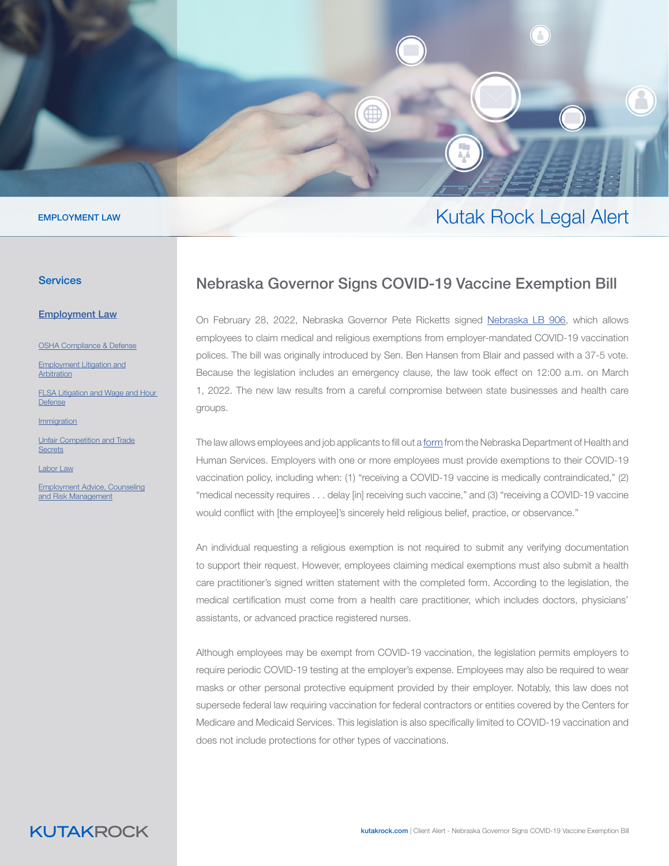

#### EMPLOYMENT LAW

#### **Services**

[Employ](https://www.kutakrock.com/services/practices/employment-law)ment Law

OSHA Compl[ia](https://www.kutakrock.com/services/practices/employment-law/osha-compliance-and-defense)nce & Defense

[Employment Litigation and](https://www.kutakrock.com/services/practices/employment-law/employment-litigation-and-arbitration) [Arbitration](https://www.kutakrock.com/services/practices/employment-law/employment-litigation-and-arbitration)

[FLSA Litigation and Wage and Hour](https://www.kutakrock.com/services/practices/employment-law/flsa-wage-and-hour-litigation)  [Defense](https://www.kutakrock.com/services/practices/employment-law/flsa-wage-and-hour-litigation)

[Immigration](https://www.kutakrock.com/services/practices/employment-law/immigration)

[Unfair Competition and Trade](https://www.kutakrock.com/services/practices/employment-law/unfair-competition-and-trade-secrets) **[Secrets](https://www.kutakrock.com/services/practices/employment-law/unfair-competition-and-trade-secrets)** 

[Labor Law](https://www.kutakrock.com/services/practices/employment-law/labor-law)

[Employment Advice, Counseling](https://www.kutakrock.com/services/practices/employment-law/employment-advice-counseling-and-risk-management) [and Risk Management](https://www.kutakrock.com/services/practices/employment-law/employment-advice-counseling-and-risk-management)

## Nebraska Governor Signs COVID-19 Vaccine Exemption Bill

Kutak Rock Legal Alert

On February 28, 2022, Nebraska Governor Pete Ricketts signed [Nebraska LB 906,](https://nebraskalegislature.gov/bills/view_bill.php?DocumentID=47444) which allows employees to claim medical and religious exemptions from employer-mandated COVID-19 vaccination polices. The bill was originally introduced by Sen. Ben Hansen from Blair and passed with a 37-5 vote. Because the legislation includes an emergency clause, the law took effect on 12:00 a.m. on March 1, 2022. The new law results from a careful compromise between state businesses and health care groups.

The law allows employees and job applicants to fill out a [form](https://dhhs.ne.gov/Documents/COVID-19-Vaccine-Exemption-Form.pdf) from the Nebraska Department of Health and Human Services. Employers with one or more employees must provide exemptions to their COVID-19 vaccination policy, including when: (1) "receiving a COVID-19 vaccine is medically contraindicated," (2) "medical necessity requires . . . delay [in] receiving such vaccine," and (3) "receiving a COVID-19 vaccine would conflict with [the employee]'s sincerely held religious belief, practice, or observance."

An individual requesting a religious exemption is not required to submit any verifying documentation to support their request. However, employees claiming medical exemptions must also submit a health care practitioner's signed written statement with the completed form. According to the legislation, the medical certification must come from a health care practitioner, which includes doctors, physicians' assistants, or advanced practice registered nurses.

Although employees may be exempt from COVID-19 vaccination, the legislation permits employers to require periodic COVID-19 testing at the employer's expense. Employees may also be required to wear masks or other personal protective equipment provided by their employer. Notably, this law does not supersede federal law requiring vaccination for federal contractors or entities covered by the Centers for Medicare and Medicaid Services. This legislation is also specifically limited to COVID-19 vaccination and does not include protections for other types of vaccinations.

# **KUTAKROCK**